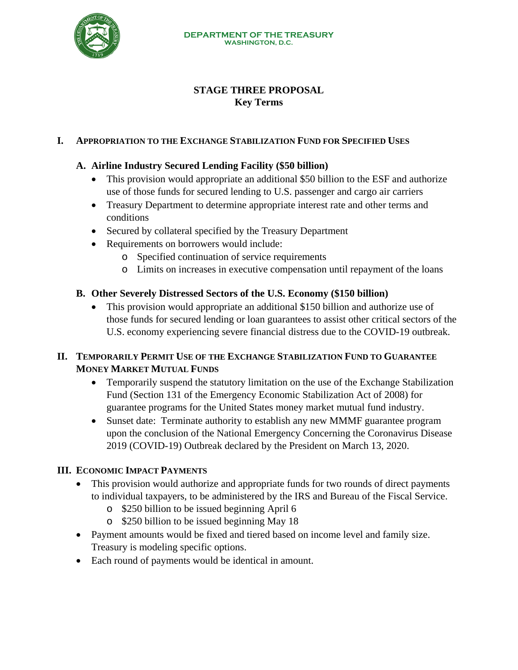

# **STAGE THREE PROPOSAL Key Terms**

### **I. APPROPRIATION TO THE EXCHANGE STABILIZATION FUND FOR SPECIFIED USES**

## **A. Airline Industry Secured Lending Facility (\$50 billion)**

- This provision would appropriate an additional \$50 billion to the ESF and authorize use of those funds for secured lending to U.S. passenger and cargo air carriers
- Treasury Department to determine appropriate interest rate and other terms and conditions
- Secured by collateral specified by the Treasury Department
- Requirements on borrowers would include:
	- o Specified continuation of service requirements
	- o Limits on increases in executive compensation until repayment of the loans

## **B. Other Severely Distressed Sectors of the U.S. Economy (\$150 billion)**

• This provision would appropriate an additional \$150 billion and authorize use of those funds for secured lending or loan guarantees to assist other critical sectors of the U.S. economy experiencing severe financial distress due to the COVID-19 outbreak.

# **II. TEMPORARILY PERMIT USE OF THE EXCHANGE STABILIZATION FUND TO GUARANTEE MONEY MARKET MUTUAL FUNDS**

- Temporarily suspend the statutory limitation on the use of the Exchange Stabilization Fund (Section 131 of the Emergency Economic Stabilization Act of 2008) for guarantee programs for the United States money market mutual fund industry.
- Sunset date: Terminate authority to establish any new MMMF guarantee program upon the conclusion of the National Emergency Concerning the Coronavirus Disease 2019 (COVID-19) Outbreak declared by the President on March 13, 2020.

#### **III. ECONOMIC IMPACT PAYMENTS**

- This provision would authorize and appropriate funds for two rounds of direct payments to individual taxpayers, to be administered by the IRS and Bureau of the Fiscal Service.
	- o \$250 billion to be issued beginning April 6
	- o \$250 billion to be issued beginning May 18
- Payment amounts would be fixed and tiered based on income level and family size. Treasury is modeling specific options.
- Each round of payments would be identical in amount.